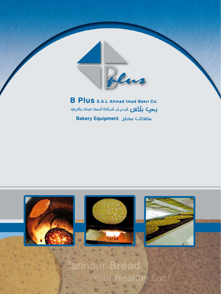

**B Plus** S.A.L Ahmad Imad Bakri Co. **بحيك بلألال ش.م.ل. شركة أحمد عماد بكري** مصحات مخابز Bakery Equipment

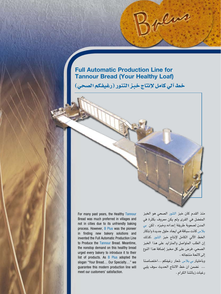## **Full Automatic Production Line for Tannour Bread (Your Healthy Loaf)**

خط آلي كامل لإنتاج خبز التنور (رغيفكم الصحي)

For many past years, the Healthy Tannour Bread was much preferred in villages and not in cities due to its unfriendly baking process. However, B Plus was the pioneer in finding new bakery solutions and invented the Full Automatic Production Line to Produce the Tannour Bread. Meantime, the nonstop demand on this healthy bread urged every bakery to introduce it to their list of products. As B Plus adopted the slogan "Your Bread… Our Specialty…" we guarantee this modern production line will meet our customers' satisfaction.

منذ القدم كان خبز التنور ال�صحي هو الخبز المف�ضل في القرى ولم يكن معروف بكثرة في المدن ل�صعوبة طريقة إعداده وخبزه ، لكن بي بال�س كانت �سباقة في ايجاد حلول جديدة وابتكار الخط الآلي الكامل لإنتاج خبز التنور ،كذلك إن الطلب المتوا�صل والمتزايد على هذا الخبز الصحي، فرض على كل مخبز إضافة هذا النوع إلى لأئحة منتجاته .

وباختيار بي بلاس شعار رغيفكم ...اختصاصنا ... ن�ضمن ان خط االنتاج الحديث �سوف يلبي رغبات زبائننا الكرام .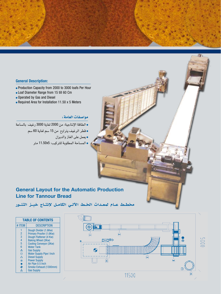### **General Description:**

- Production Capacity from 2000 to 3000 loafs Per Hour
- Loaf Diameter Range from 15 till 60 Cm
- Operated by Gas and Diesel
- $\bullet$  Required Area for Installation 11.50 x 5 Meters

## موا�صفات العامة:

<sup>l</sup> الطاقة الإنتاجية: من 2000 لغاية 3000 رغيف بال�ساعة

<sup>l</sup> قطر الرغيف يتراوح من 15 �سم لغاية 60 �سم

<sup>l</sup> يعمل على الغاز والديزل

<sup>l</sup> الم�ساحة المطلوبة للتركيب: 5x11.50 متر

## **General Layout for the Automatic Production Line for Tannour Bread**

مخطـط عـام لمعـدات الخـط الآلـي الكامـل لإنتـاج خبــز التنــور

| <b>TABLE OF CONTENTS</b> |                                 |
|--------------------------|---------------------------------|
| # ITFM                   | <b>DESCRIPTION</b>              |
| 1                        | Dough Divider (1.6Kw)           |
| $\overline{2}$           | Primary Proofer (1.6Kw)         |
| 3                        | Dough Flattener (4 Kw)          |
| $\overline{4}$           | <b>Baking Wheel (3Kw)</b>       |
| 5                        | <b>Cooling Conveyor (3Kw)</b>   |
| 6                        | <b>Water Tank</b>               |
| $\Lambda$                | <b>Gas Supply</b>               |
| □                        | <b>Water Supply Pipe I Inch</b> |
| $\wedge$                 | <b>Diesel Supply</b>            |
| $^{\circ}$               | <b>Power Supply</b>             |
| $\bullet$                | Air Pipe 0.5 Inch               |
| $\blacklozenge$          | Smoke Exhaust (1300mm)          |
|                          | <b>Gas Supply</b>               |
|                          |                                 |